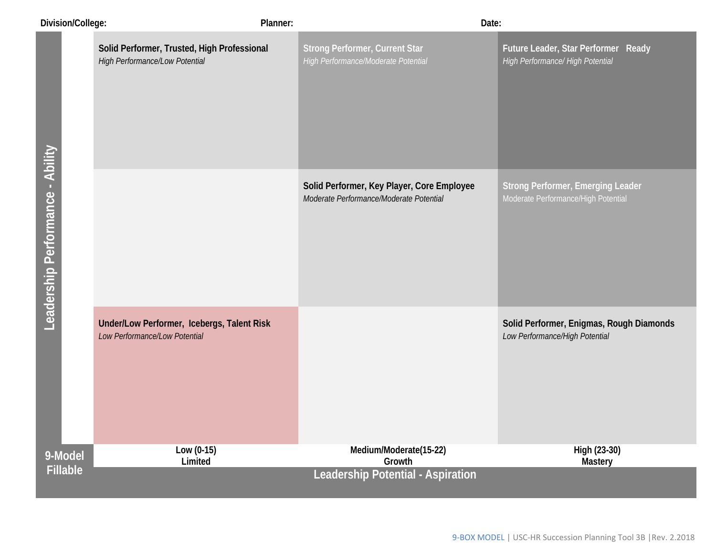| Division/College:                | Planner:                                                                      | Date:                                                                                 |                                                                                 |
|----------------------------------|-------------------------------------------------------------------------------|---------------------------------------------------------------------------------------|---------------------------------------------------------------------------------|
|                                  | Solid Performer, Trusted, High Professional<br>High Performance/Low Potential | <b>Strong Performer, Current Star</b><br>High Performance/Moderate Potential          | Future Leader, Star Performer Ready<br>High Performance/ High Potential         |
| Leadership Performance - Ability |                                                                               | Solid Performer, Key Player, Core Employee<br>Moderate Performance/Moderate Potential | <b>Strong Performer, Emerging Leader</b><br>Moderate Performance/High Potential |
|                                  | Under/Low Performer, Icebergs, Talent Risk<br>Low Performance/Low Potential   |                                                                                       | Solid Performer, Enigmas, Rough Diamonds<br>Low Performance/High Potential      |
| 9-Model                          | Low $(0-15)$<br>Limited                                                       | Medium/Moderate(15-22)<br>Growth                                                      | High (23-30)<br><b>Mastery</b>                                                  |
| <b>Fillable</b>                  |                                                                               | Leadership Potential - Aspiration                                                     |                                                                                 |